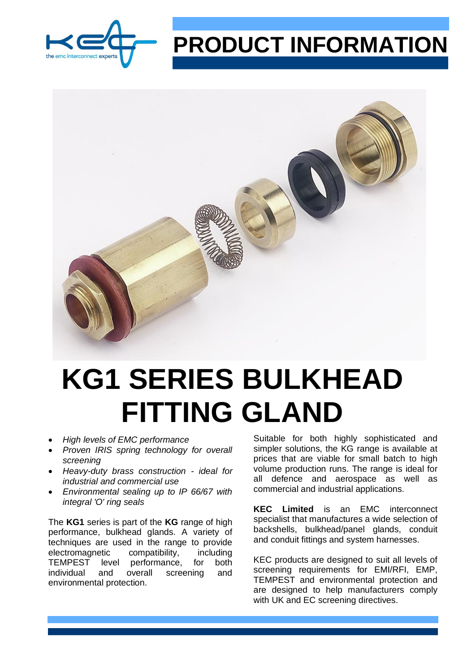

## **PRODUCT INFORMATION**



## **KG1 SERIES BULKHEAD FITTING GLAND**

- *High levels of EMC performance*
- *Proven IRIS spring technology for overall screening*
- *Heavy-duty brass construction - ideal for industrial and commercial use*
- *Environmental sealing up to IP 66/67 with integral 'O' ring seals*

The **KG1** series is part of the **KG** range of high performance, bulkhead glands. A variety of techniques are used in the range to provide electromagnetic compatibility, including TEMPEST level performance, for both individual and overall screening and environmental protection.

Suitable for both highly sophisticated and simpler solutions, the KG range is available at prices that are viable for small batch to high volume production runs. The range is ideal for all defence and aerospace as well as commercial and industrial applications.

**KEC Limited** is an EMC interconnect specialist that manufactures a wide selection of backshells, bulkhead/panel glands, conduit and conduit fittings and system harnesses.

KEC products are designed to suit all levels of screening requirements for EMI/RFI, EMP, TEMPEST and environmental protection and are designed to help manufacturers comply with UK and EC screening directives.